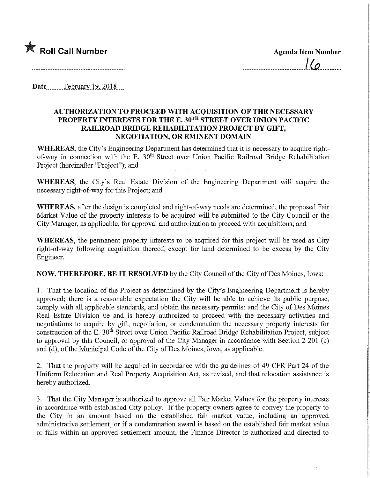

 $l(a)$ 

Date February 19, 2018...

## AUTHORIZATION TO PROCEED WITH ACQUISITION OF THE NECESSARY PROPERTY INTERESTS FOR THE E. 30TH STREET OVER UNION PACIFIC RAILROAD BRIDGE REHABILITATION PROJECT BY GIFT, NEGOTIATION, OR EMINENT DOMAIN

WHEREAS, the City's Engineering Department has determined that it is necessary to acquire rightof-way in connection with the E. 30<sup>th</sup> Street over Union Pacific Railroad Bridge Rehabilitation Project (hereinafter "Project"), and

WHEREAS, the City's Real Estate Division of the Engineering Department will acquire the necessary right-of-way for this Project; and

WHEREAS, after the design is completed and right-of-way needs are determined, the proposed Fair Market Value of the property mterests to be acquired will be submitted to the City Council or the City Manager, as applicable, for approval and authorization to proceed with acquisitions; and

WHEREAS, the permanent property interests to be acquired for this project will be used as City right-of-way following acquisition thereof, except for land determined to be excess by the City Engineer.

NOW, THEREFORE, BE IT RESOLVED by the City Council of the City of Des Moines, Iowa:

1. That the location of the Project as determined by the City's Engineering Department is hereby approved; there is a reasonable expectation the City will be able to achieve its public purpose, comply with all applicable standards, and obtain the necessary permits; and the City of Des Moines Real Estate Division be and is hereby authorized to proceed with the necessary activities and negotiations to acquire by gift, negotiation, or condemnation the necessary property interests for construction of the E. 30<sup>th</sup> Street over Union Pacific Railroad Bridge Rehabilitation Project, subject to approval by this Council, or approval of the City Manager in accordance with Section 2-201 (c) and (d), of the Municipal Code of the City of Des Moines, Iowa, as applicable.

2. That the property will be acquired in accordance with the guidelines of 49 CFR Part 24 of the Umform Relocation and Real Property Acquisition Act, as revised, and that relocation assistance is hereby authorized.

3. That the City Manager is authorized to approve all Fair Market Values for the property interests in accordance with established City policy. If the property owners agree to convey the property to the City in an amount based on the established fair market value, including an approved administrative settlement, or if a condemnation award is based on the established fair market value or falls within an approved settlement amount, the Finance Director is authorized and directed to